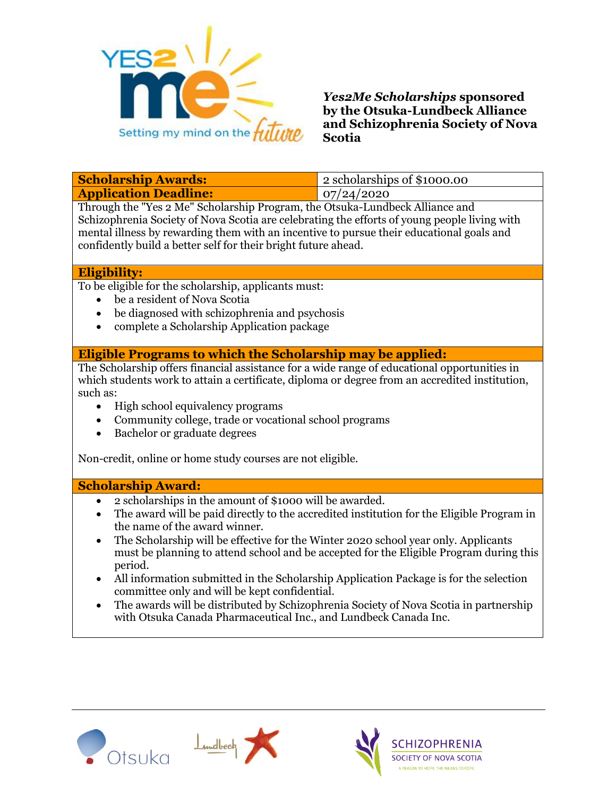

## *Yes2Me Scholarships* **sponsored by the Otsuka-Lundbeck Alliance and Schizophrenia Society of Nova Scotia**

| <b>Scholarship Awards:</b>   | 2 scholarships of \$1000.00 |
|------------------------------|-----------------------------|
| <b>Application Deadline:</b> | 07/24/2020                  |

Through the "Yes 2 Me" Scholarship Program, the Otsuka-Lundbeck Alliance and Schizophrenia Society of Nova Scotia are celebrating the efforts of young people living with mental illness by rewarding them with an incentive to pursue their educational goals and confidently build a better self for their bright future ahead.

#### **Eligibility:**

To be eligible for the scholarship, applicants must:

- be a resident of Nova Scotia
- be diagnosed with schizophrenia and psychosis
- complete a Scholarship Application package

#### **Eligible Programs to which the Scholarship may be applied:**

The Scholarship offers financial assistance for a wide range of educational opportunities in which students work to attain a certificate, diploma or degree from an accredited institution, such as:

- High school equivalency programs
- Community college, trade or vocational school programs
- Bachelor or graduate degrees

Non-credit, online or home study courses are not eligible.

#### **Scholarship Award:**

- 2 scholarships in the amount of \$1000 will be awarded.
- The award will be paid directly to the accredited institution for the Eligible Program in the name of the award winner.
- The Scholarship will be effective for the Winter 2020 school year only. Applicants must be planning to attend school and be accepted for the Eligible Program during this period.
- All information submitted in the Scholarship Application Package is for the selection committee only and will be kept confidential.
- The awards will be distributed by Schizophrenia Society of Nova Scotia in partnership with Otsuka Canada Pharmaceutical Inc., and Lundbeck Canada Inc.





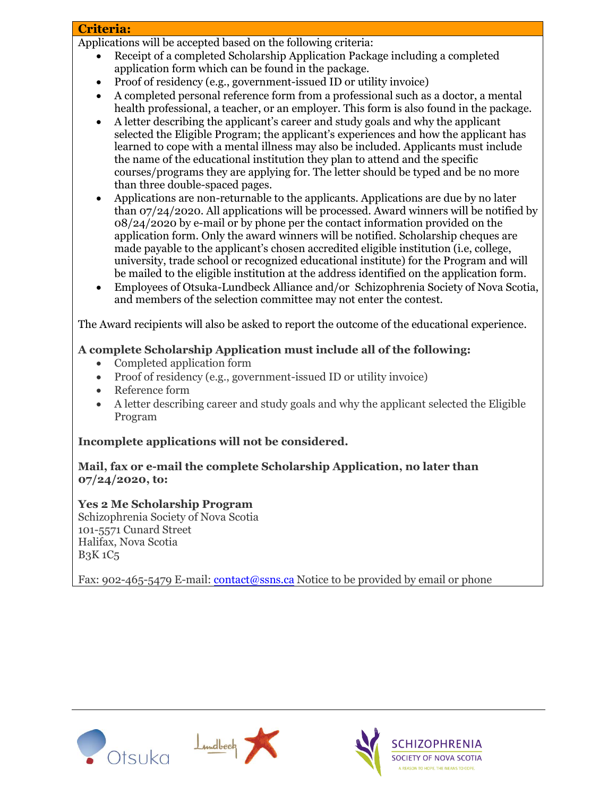## **Criteria:**

Applications will be accepted based on the following criteria:

- Receipt of a completed Scholarship Application Package including a completed application form which can be found in the package.
- Proof of residency (e.g., government-issued ID or utility invoice)
- A completed personal reference form from a professional such as a doctor, a mental health professional, a teacher, or an employer. This form is also found in the package.
- A letter describing the applicant's career and study goals and why the applicant selected the Eligible Program; the applicant's experiences and how the applicant has learned to cope with a mental illness may also be included. Applicants must include the name of the educational institution they plan to attend and the specific courses/programs they are applying for. The letter should be typed and be no more than three double-spaced pages.
- Applications are non-returnable to the applicants. Applications are due by no later than 07/24/2020. All applications will be processed. Award winners will be notified by  $08/24/2020$  by e-mail or by phone per the contact information provided on the application form. Only the award winners will be notified. Scholarship cheques are made payable to the applicant's chosen accredited eligible institution (i.e, college, university, trade school or recognized educational institute) for the Program and will be mailed to the eligible institution at the address identified on the application form.
- Employees of Otsuka-Lundbeck Alliance and/or Schizophrenia Society of Nova Scotia, and members of the selection committee may not enter the contest.

The Award recipients will also be asked to report the outcome of the educational experience.

## **A complete Scholarship Application must include all of the following:**

- [Completed application form](http://www.bcss.org/cgi-bin/dada/mail.cgi/r/Friends/166050734620/renea.mohammed/vch.ca/)
- Proof of residency (e.g., government-issued ID or utility invoice)
- Reference form
- A letter describing career and study goals and why the applicant selected the Eligible Program

# **Incomplete applications will not be considered.**

## **Mail, fax or e-mail the complete Scholarship Application, no later than 07/24/2020, to:**

# **Yes 2 Me Scholarship Program**

Schizophrenia Society of Nova Scotia 101-5571 Cunard Street Halifax, Nova Scotia B3K 1C5

Fax: 902-465-5479 E-mail: [contact@ssns.ca](mailto:contact@ssns.ca) Notice to be provided by email or phone





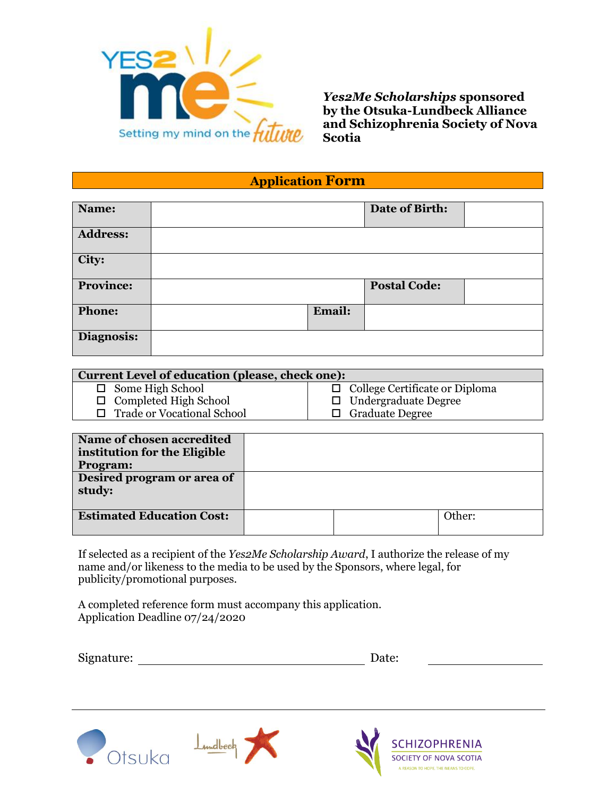

*Yes2Me Scholarships* **sponsored by the Otsuka-Lundbeck Alliance and Schizophrenia Society of Nova Scotia**

**Application Form**

| Name:            |        | Date of Birth:      |  |
|------------------|--------|---------------------|--|
| <b>Address:</b>  |        |                     |  |
| City:            |        |                     |  |
| <b>Province:</b> |        | <b>Postal Code:</b> |  |
| Phone:           | Email: |                     |  |
| Diagnosis:       |        |                     |  |

| <b>Current Level of education (please, check one):</b> |                                       |  |  |
|--------------------------------------------------------|---------------------------------------|--|--|
| $\Box$ Some High School                                | $\Box$ College Certificate or Diploma |  |  |
| $\Box$ Completed High School                           | $\Box$ Undergraduate Degree           |  |  |
| □ Trade or Vocational School                           | $\Box$ Graduate Degree                |  |  |

| Name of chosen accredited<br>institution for the Eligible<br><b>Program:</b> |  |        |
|------------------------------------------------------------------------------|--|--------|
| Desired program or area of<br>study:                                         |  |        |
| <b>Estimated Education Cost:</b>                                             |  | Other: |

If selected as a recipient of the *Yes2Me Scholarship Award*, I authorize the release of my name and/or likeness to the media to be used by the Sponsors, where legal, for publicity/promotional purposes.

A completed reference form must accompany this application. Application Deadline 07/24/2020

Signature: Date: Date: